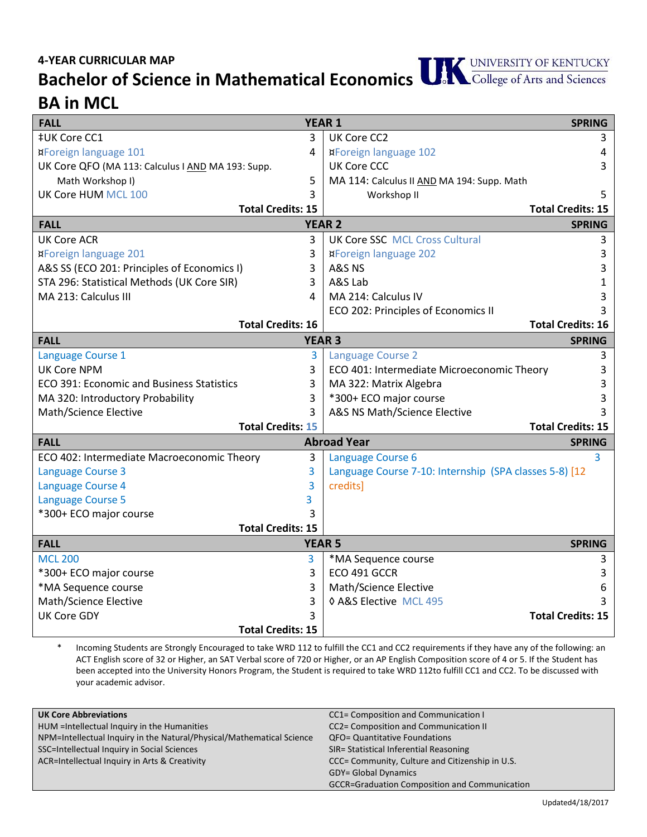**Bachelor of Science in Mathematical Economics**

## **BA in MCL**

| <b>FALL</b>                                       | <b>YEAR 1</b> |                                                        | <b>SPRING</b>            |
|---------------------------------------------------|---------------|--------------------------------------------------------|--------------------------|
| <b>‡UK Core CC1</b>                               | 3             | UK Core CC2                                            | 3                        |
| <b>¤Foreign language 101</b>                      | 4             | <b>¤Foreign language 102</b>                           | 4                        |
| UK Core QFO (MA 113: Calculus I AND MA 193: Supp. |               | <b>UK Core CCC</b>                                     | 3                        |
| Math Workshop I)                                  | 5             | MA 114: Calculus II AND MA 194: Supp. Math             |                          |
| UK Core HUM MCL 100                               | 3             | Workshop II                                            | 5                        |
| <b>Total Credits: 15</b>                          |               |                                                        | <b>Total Credits: 15</b> |
| <b>YEAR 2</b><br><b>FALL</b>                      |               | <b>SPRING</b>                                          |                          |
| <b>UK Core ACR</b>                                | 3             | <b>UK Core SSC MCL Cross Cultural</b>                  | 3                        |
| <b>¤Foreign language 201</b>                      | 3             | <b>¤Foreign language 202</b>                           | 3                        |
| A&S SS (ECO 201: Principles of Economics I)       | 3             | A&S NS                                                 | 3                        |
| STA 296: Statistical Methods (UK Core SIR)        | 3             | A&S Lab                                                | 1                        |
| MA 213: Calculus III                              | 4             | MA 214: Calculus IV                                    | 3                        |
|                                                   |               | ECO 202: Principles of Economics II                    |                          |
| <b>Total Credits: 16</b>                          |               |                                                        | <b>Total Credits: 16</b> |
| <b>YEAR 3</b><br><b>FALL</b>                      |               |                                                        | <b>SPRING</b>            |
| Language Course 1                                 | 3             | <b>Language Course 2</b>                               | 3                        |
| <b>UK Core NPM</b>                                | 3             | ECO 401: Intermediate Microeconomic Theory             | 3                        |
| ECO 391: Economic and Business Statistics         | 3             | MA 322: Matrix Algebra                                 | 3                        |
| MA 320: Introductory Probability                  | 3             | *300+ ECO major course                                 | 3                        |
| Math/Science Elective                             | 3             | A&S NS Math/Science Elective                           |                          |
| <b>Total Credits: 15</b>                          |               |                                                        | <b>Total Credits: 15</b> |
| <b>FALL</b>                                       |               | <b>Abroad Year</b>                                     | <b>SPRING</b>            |
| ECO 402: Intermediate Macroeconomic Theory        | 3             | Language Course 6                                      | 3                        |
| <b>Language Course 3</b>                          | 3             | Language Course 7-10: Internship (SPA classes 5-8) [12 |                          |
| Language Course 4                                 | 3             | credits]                                               |                          |
| <b>Language Course 5</b>                          | 3             |                                                        |                          |
| *300+ ECO major course                            | 3             |                                                        |                          |
| <b>Total Credits: 15</b>                          |               |                                                        |                          |
| <b>FALL</b>                                       |               | <b>YEAR 5</b>                                          | <b>SPRING</b>            |
| <b>MCL 200</b>                                    | 3             | *MA Sequence course                                    | 3                        |
| *300+ ECO major course                            | 3             | ECO 491 GCCR                                           | 3                        |
| *MA Sequence course                               | 3             | Math/Science Elective                                  | 6                        |
| Math/Science Elective                             | 3             | ♦ A&S Elective MCL 495                                 |                          |
| <b>UK Core GDY</b>                                | 3             |                                                        | <b>Total Credits: 15</b> |
| <b>Total Credits: 15</b>                          |               |                                                        |                          |

Incoming Students are Strongly Encouraged to take WRD 112 to fulfill the CC1 and CC2 requirements if they have any of the following: an ACT English score of 32 or Higher, an SAT Verbal score of 720 or Higher, or an AP English Composition score of 4 or 5. If the Student has been accepted into the University Honors Program, the Student is required to take WRD 112to fulfill CC1 and CC2. To be discussed with your academic advisor.

| <b>UK Core Abbreviations</b>                                          | CC1= Composition and Communication I                 |
|-----------------------------------------------------------------------|------------------------------------------------------|
| HUM = Intellectual Inquiry in the Humanities                          | CC2= Composition and Communication II                |
| NPM=Intellectual Inquiry in the Natural/Physical/Mathematical Science | <b>QFO= Quantitative Foundations</b>                 |
| SSC=Intellectual Inquiry in Social Sciences                           | SIR= Statistical Inferential Reasoning               |
| ACR=Intellectual Inquiry in Arts & Creativity                         | CCC= Community, Culture and Citizenship in U.S.      |
|                                                                       | <b>GDY= Global Dynamics</b>                          |
|                                                                       | <b>GCCR=Graduation Composition and Communication</b> |